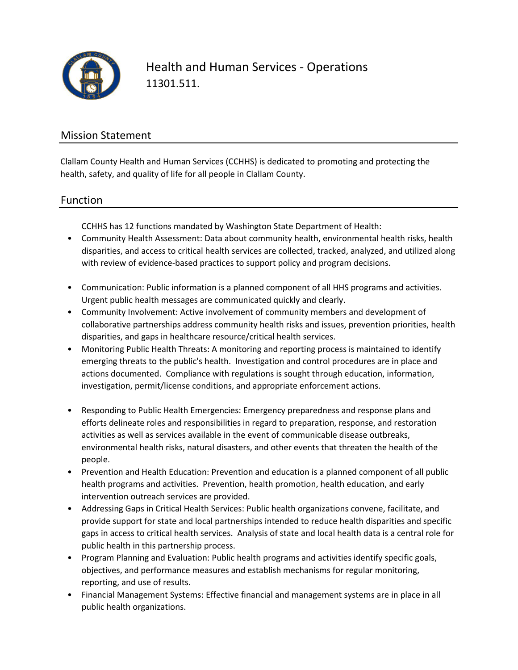

Health and Human Services - Operations 11301.511.

### Mission Statement

Clallam County Health and Human Services (CCHHS) is dedicated to promoting and protecting the health, safety, and quality of life for all people in Clallam County.

#### Function

CCHHS has 12 functions mandated by Washington State Department of Health:

- Community Health Assessment: Data about community health, environmental health risks, health disparities, and access to critical health services are collected, tracked, analyzed, and utilized along with review of evidence-based practices to support policy and program decisions.
- Communication: Public information is a planned component of all HHS programs and activities. Urgent public health messages are communicated quickly and clearly.
- Community Involvement: Active involvement of community members and development of collaborative partnerships address community health risks and issues, prevention priorities, health disparities, and gaps in healthcare resource/critical health services.
- Monitoring Public Health Threats: A monitoring and reporting process is maintained to identify emerging threats to the public's health. Investigation and control procedures are in place and actions documented. Compliance with regulations is sought through education, information, investigation, permit/license conditions, and appropriate enforcement actions.
- Responding to Public Health Emergencies: Emergency preparedness and response plans and efforts delineate roles and responsibilities in regard to preparation, response, and restoration activities as well as services available in the event of communicable disease outbreaks, environmental health risks, natural disasters, and other events that threaten the health of the people.
- Prevention and Health Education: Prevention and education is a planned component of all public health programs and activities. Prevention, health promotion, health education, and early intervention outreach services are provided.
- Addressing Gaps in Critical Health Services: Public health organizations convene, facilitate, and provide support for state and local partnerships intended to reduce health disparities and specific gaps in access to critical health services. Analysis of state and local health data is a central role for public health in this partnership process.
- Program Planning and Evaluation: Public health programs and activities identify specific goals, objectives, and performance measures and establish mechanisms for regular monitoring, reporting, and use of results.
- Financial Management Systems: Effective financial and management systems are in place in all public health organizations.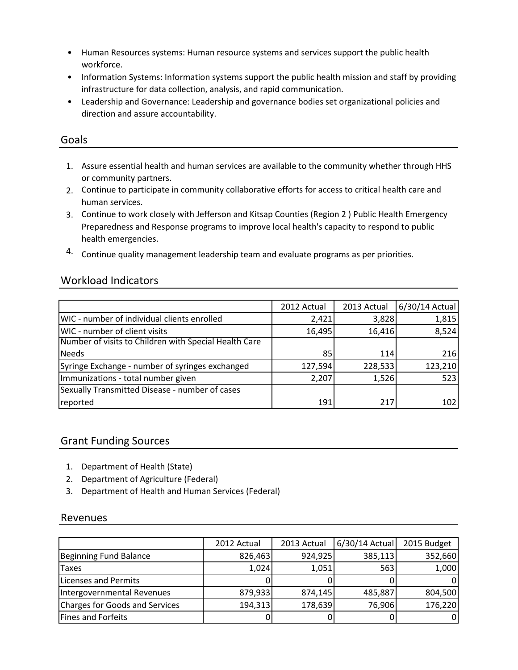- Human Resources systems: Human resource systems and services support the public health workforce.
- Information Systems: Information systems support the public health mission and staff by providing infrastructure for data collection, analysis, and rapid communication.
- Leadership and Governance: Leadership and governance bodies set organizational policies and direction and assure accountability.

#### Goals

- 1. Assure essential health and human services are available to the community whether through HHS or community partners.
- 2. Continue to participate in community collaborative efforts for access to critical health care and human services.
- 3. Continue to work closely with Jefferson and Kitsap Counties (Region 2 ) Public Health Emergency Preparedness and Response programs to improve local health's capacity to respond to public health emergencies.
- 4. Continue quality management leadership team and evaluate programs as per priorities.

#### Workload Indicators

|                                                       | 2012 Actual | 2013 Actual | 6/30/14 Actual |
|-------------------------------------------------------|-------------|-------------|----------------|
| WIC - number of individual clients enrolled           | 2,421       | 3,828       | 1,815          |
| WIC - number of client visits                         | 16,495      | 16,416      | 8,524          |
| Number of visits to Children with Special Health Care |             |             |                |
| Needs                                                 | 85          | 114         | 216            |
| Syringe Exchange - number of syringes exchanged       | 127,594     | 228,533     | 123,210        |
| Immunizations - total number given                    | 2,207       | 1,526       | 523            |
| Sexually Transmitted Disease - number of cases        |             |             |                |
| reported                                              | 191         | 217         | 102            |

#### Grant Funding Sources

- 1. Department of Health (State)
- 2. Department of Agriculture (Federal)
- 3. Department of Health and Human Services (Federal)

#### Revenues

|                                | 2012 Actual | 2013 Actual | 6/30/14 Actual | 2015 Budget |
|--------------------------------|-------------|-------------|----------------|-------------|
| Beginning Fund Balance         | 826,463     | 924,925     | 385,113        | 352,660     |
| <b>Taxes</b>                   | 1,024       | 1,051       | 5631           | 1,000       |
| Licenses and Permits           |             |             |                |             |
| Intergovernmental Revenues     | 879,933     | 874,145     | 485,887        | 804,500     |
| Charges for Goods and Services | 194,313     | 178,639     | 76,906         | 176,220     |
| Fines and Forfeits             |             |             |                |             |